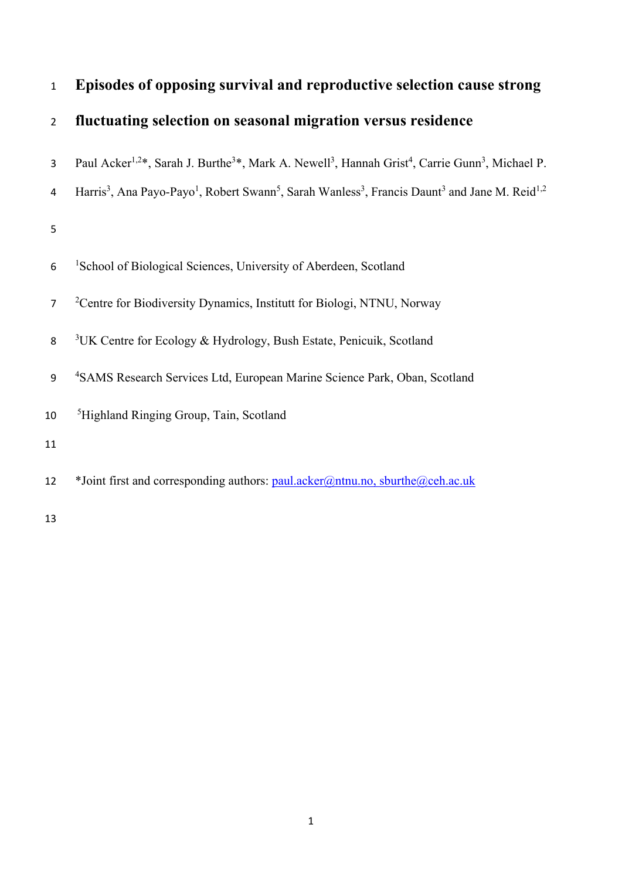| $\mathbf{1}$   | Episodes of opposing survival and reproductive selection cause strong                                                                                                  |
|----------------|------------------------------------------------------------------------------------------------------------------------------------------------------------------------|
| $\overline{2}$ | fluctuating selection on seasonal migration versus residence                                                                                                           |
| 3              | Paul Acker <sup>1,2*</sup> , Sarah J. Burthe <sup>3*</sup> , Mark A. Newell <sup>3</sup> , Hannah Grist <sup>4</sup> , Carrie Gunn <sup>3</sup> , Michael P.           |
| 4              | Harris <sup>3</sup> , Ana Payo-Payo <sup>1</sup> , Robert Swann <sup>5</sup> , Sarah Wanless <sup>3</sup> , Francis Daunt <sup>3</sup> and Jane M. Reid <sup>1,2</sup> |
| 5              |                                                                                                                                                                        |
| 6              | <sup>1</sup> School of Biological Sciences, University of Aberdeen, Scotland                                                                                           |
| $\overline{7}$ | <sup>2</sup> Centre for Biodiversity Dynamics, Institutt for Biologi, NTNU, Norway                                                                                     |
| 8              | <sup>3</sup> UK Centre for Ecology & Hydrology, Bush Estate, Penicuik, Scotland                                                                                        |
| 9              | <sup>4</sup> SAMS Research Services Ltd, European Marine Science Park, Oban, Scotland                                                                                  |
| 10             | <sup>5</sup> Highland Ringing Group, Tain, Scotland                                                                                                                    |
| 11             |                                                                                                                                                                        |
| 12             | *Joint first and corresponding authors: paul.acker@ntnu.no, sburthe@ceh.ac.uk                                                                                          |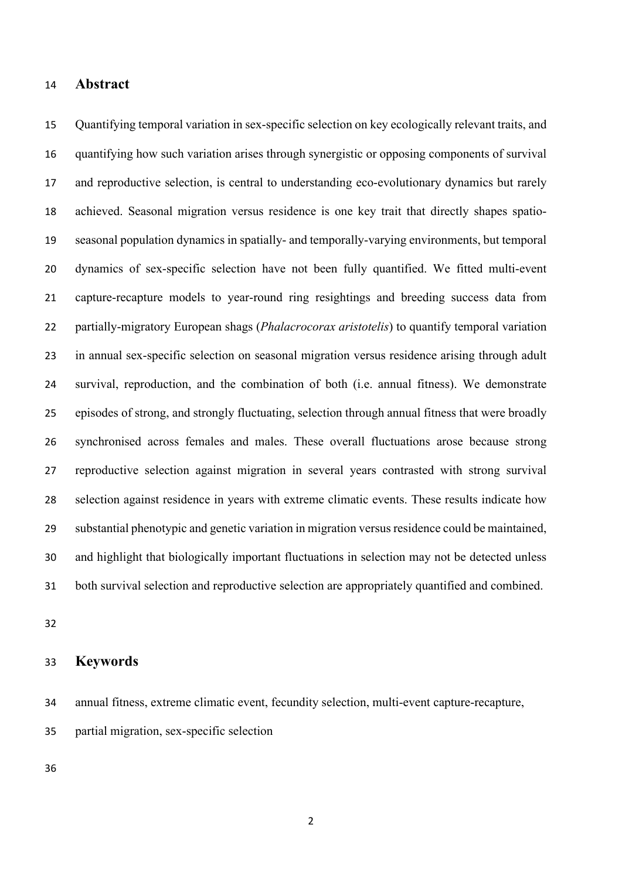### **Abstract**

 Quantifying temporal variation in sex-specific selection on key ecologically relevant traits, and quantifying how such variation arises through synergistic or opposing components of survival and reproductive selection, is central to understanding eco-evolutionary dynamics but rarely achieved. Seasonal migration versus residence is one key trait that directly shapes spatio- seasonal population dynamics in spatially- and temporally-varying environments, but temporal dynamics of sex-specific selection have not been fully quantified. We fitted multi-event capture-recapture models to year-round ring resightings and breeding success data from partially-migratory European shags (*Phalacrocorax aristotelis*) to quantify temporal variation in annual sex-specific selection on seasonal migration versus residence arising through adult survival, reproduction, and the combination of both (i.e. annual fitness). We demonstrate episodes of strong, and strongly fluctuating, selection through annual fitness that were broadly synchronised across females and males. These overall fluctuations arose because strong reproductive selection against migration in several years contrasted with strong survival selection against residence in years with extreme climatic events. These results indicate how substantial phenotypic and genetic variation in migration versus residence could be maintained, and highlight that biologically important fluctuations in selection may not be detected unless both survival selection and reproductive selection are appropriately quantified and combined.

# **Keywords**

annual fitness, extreme climatic event, fecundity selection, multi-event capture-recapture,

partial migration, sex-specific selection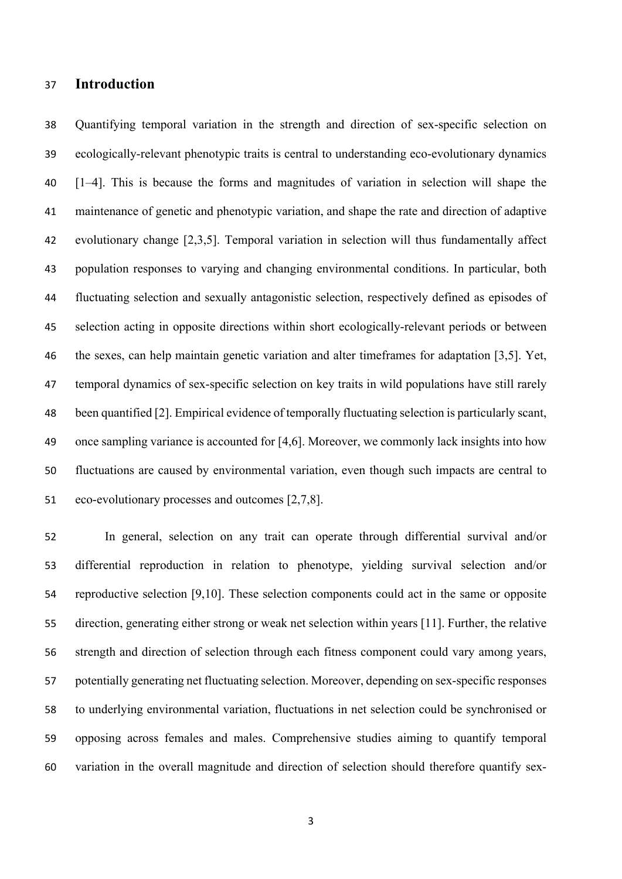# **Introduction**

 Quantifying temporal variation in the strength and direction of sex-specific selection on ecologically-relevant phenotypic traits is central to understanding eco-evolutionary dynamics [1–4]. This is because the forms and magnitudes of variation in selection will shape the maintenance of genetic and phenotypic variation, and shape the rate and direction of adaptive evolutionary change [2,3,5]. Temporal variation in selection will thus fundamentally affect population responses to varying and changing environmental conditions. In particular, both fluctuating selection and sexually antagonistic selection, respectively defined as episodes of selection acting in opposite directions within short ecologically-relevant periods or between the sexes, can help maintain genetic variation and alter timeframes for adaptation [3,5]. Yet, temporal dynamics of sex-specific selection on key traits in wild populations have still rarely been quantified [2]. Empirical evidence of temporally fluctuating selection is particularly scant, once sampling variance is accounted for [4,6]. Moreover, we commonly lack insights into how fluctuations are caused by environmental variation, even though such impacts are central to eco-evolutionary processes and outcomes [2,7,8].

 In general, selection on any trait can operate through differential survival and/or differential reproduction in relation to phenotype, yielding survival selection and/or reproductive selection [9,10]. These selection components could act in the same or opposite direction, generating either strong or weak net selection within years [11]. Further, the relative strength and direction of selection through each fitness component could vary among years, potentially generating net fluctuating selection. Moreover, depending on sex-specific responses to underlying environmental variation, fluctuations in net selection could be synchronised or opposing across females and males. Comprehensive studies aiming to quantify temporal variation in the overall magnitude and direction of selection should therefore quantify sex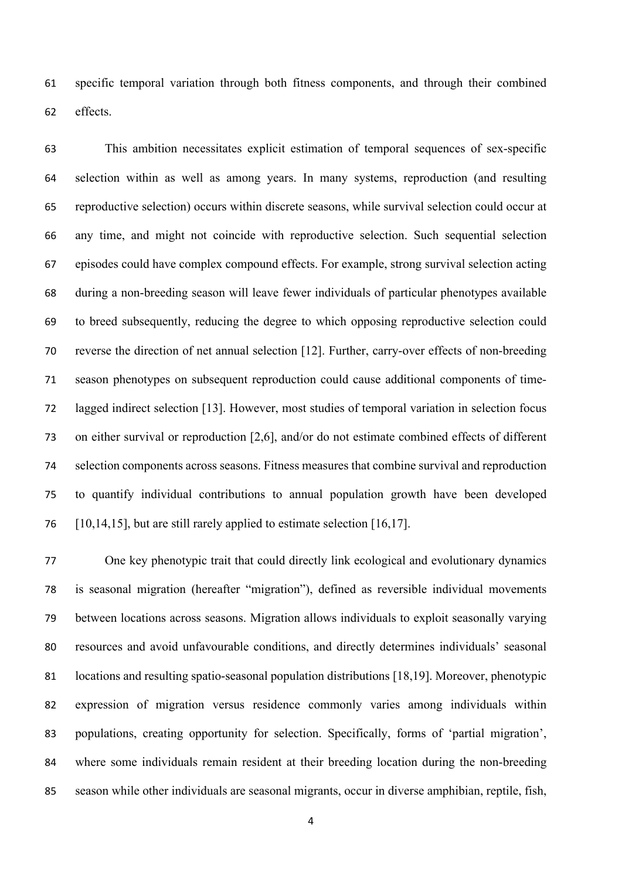specific temporal variation through both fitness components, and through their combined effects.

 This ambition necessitates explicit estimation of temporal sequences of sex-specific selection within as well as among years. In many systems, reproduction (and resulting reproductive selection) occurs within discrete seasons, while survival selection could occur at any time, and might not coincide with reproductive selection. Such sequential selection episodes could have complex compound effects. For example, strong survival selection acting during a non-breeding season will leave fewer individuals of particular phenotypes available to breed subsequently, reducing the degree to which opposing reproductive selection could reverse the direction of net annual selection [12]. Further, carry-over effects of non-breeding season phenotypes on subsequent reproduction could cause additional components of time- lagged indirect selection [13]. However, most studies of temporal variation in selection focus on either survival or reproduction [2,6], and/or do not estimate combined effects of different selection components across seasons. Fitness measures that combine survival and reproduction to quantify individual contributions to annual population growth have been developed [10,14,15], but are still rarely applied to estimate selection [16,17].

 One key phenotypic trait that could directly link ecological and evolutionary dynamics is seasonal migration (hereafter "migration"), defined as reversible individual movements between locations across seasons. Migration allows individuals to exploit seasonally varying resources and avoid unfavourable conditions, and directly determines individuals' seasonal locations and resulting spatio-seasonal population distributions [18,19]. Moreover, phenotypic expression of migration versus residence commonly varies among individuals within populations, creating opportunity for selection. Specifically, forms of 'partial migration', where some individuals remain resident at their breeding location during the non-breeding season while other individuals are seasonal migrants, occur in diverse amphibian, reptile, fish,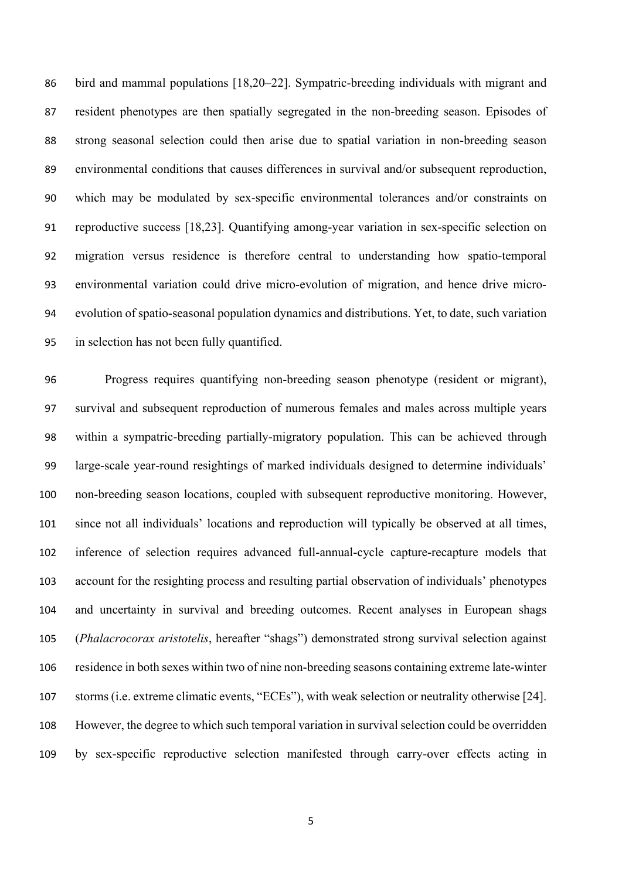bird and mammal populations [18,20–22]. Sympatric-breeding individuals with migrant and resident phenotypes are then spatially segregated in the non-breeding season. Episodes of strong seasonal selection could then arise due to spatial variation in non-breeding season environmental conditions that causes differences in survival and/or subsequent reproduction, which may be modulated by sex-specific environmental tolerances and/or constraints on reproductive success [18,23]. Quantifying among-year variation in sex-specific selection on migration versus residence is therefore central to understanding how spatio-temporal environmental variation could drive micro-evolution of migration, and hence drive micro- evolution of spatio-seasonal population dynamics and distributions. Yet, to date, such variation in selection has not been fully quantified.

 Progress requires quantifying non-breeding season phenotype (resident or migrant), survival and subsequent reproduction of numerous females and males across multiple years within a sympatric-breeding partially-migratory population. This can be achieved through large-scale year-round resightings of marked individuals designed to determine individuals' non-breeding season locations, coupled with subsequent reproductive monitoring. However, since not all individuals' locations and reproduction will typically be observed at all times, inference of selection requires advanced full-annual-cycle capture-recapture models that account for the resighting process and resulting partial observation of individuals' phenotypes and uncertainty in survival and breeding outcomes. Recent analyses in European shags (*Phalacrocorax aristotelis*, hereafter "shags") demonstrated strong survival selection against residence in both sexes within two of nine non-breeding seasons containing extreme late-winter storms (i.e. extreme climatic events, "ECEs"), with weak selection or neutrality otherwise [24]. However, the degree to which such temporal variation in survival selection could be overridden by sex-specific reproductive selection manifested through carry-over effects acting in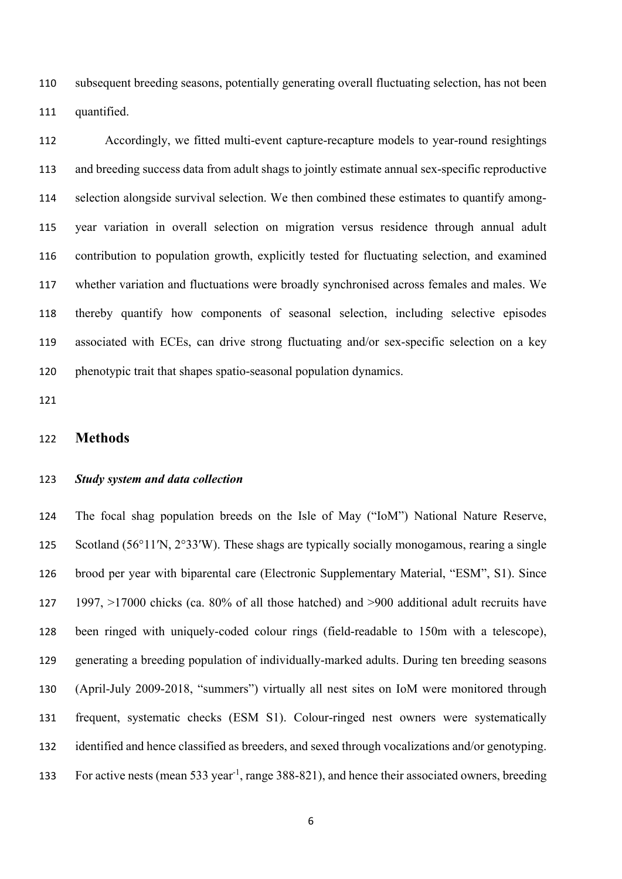subsequent breeding seasons, potentially generating overall fluctuating selection, has not been quantified.

 Accordingly, we fitted multi-event capture-recapture models to year-round resightings and breeding success data from adult shags to jointly estimate annual sex-specific reproductive selection alongside survival selection. We then combined these estimates to quantify among- year variation in overall selection on migration versus residence through annual adult contribution to population growth, explicitly tested for fluctuating selection, and examined whether variation and fluctuations were broadly synchronised across females and males. We thereby quantify how components of seasonal selection, including selective episodes associated with ECEs, can drive strong fluctuating and/or sex-specific selection on a key phenotypic trait that shapes spatio-seasonal population dynamics.

#### **Methods**

### *Study system and data collection*

 The focal shag population breeds on the Isle of May ("IoM") National Nature Reserve, Scotland (56°11′N, 2°33′W). These shags are typically socially monogamous, rearing a single brood per year with biparental care (Electronic Supplementary Material, "ESM", S1). Since 1997, >17000 chicks (ca. 80% of all those hatched) and >900 additional adult recruits have been ringed with uniquely-coded colour rings (field-readable to 150m with a telescope), generating a breeding population of individually-marked adults. During ten breeding seasons (April-July 2009-2018, "summers") virtually all nest sites on IoM were monitored through frequent, systematic checks (ESM S1). Colour-ringed nest owners were systematically identified and hence classified as breeders, and sexed through vocalizations and/or genotyping. 133 For active nests (mean 533 year<sup>-1</sup>, range 388-821), and hence their associated owners, breeding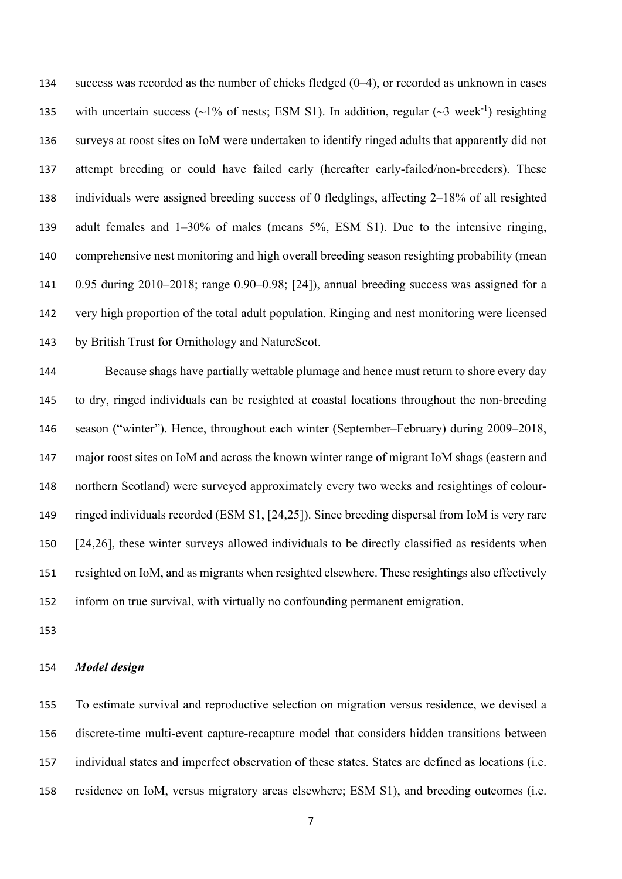success was recorded as the number of chicks fledged (0–4), or recorded as unknown in cases 135 with uncertain success ( $\sim$ 1% of nests; ESM S1). In addition, regular ( $\sim$ 3 week<sup>-1</sup>) resighting surveys at roost sites on IoM were undertaken to identify ringed adults that apparently did not attempt breeding or could have failed early (hereafter early-failed/non-breeders). These individuals were assigned breeding success of 0 fledglings, affecting 2–18% of all resighted adult females and 1–30% of males (means 5%, ESM S1). Due to the intensive ringing, comprehensive nest monitoring and high overall breeding season resighting probability (mean 0.95 during 2010–2018; range 0.90–0.98; [24]), annual breeding success was assigned for a very high proportion of the total adult population. Ringing and nest monitoring were licensed by British Trust for Ornithology and NatureScot.

 Because shags have partially wettable plumage and hence must return to shore every day to dry, ringed individuals can be resighted at coastal locations throughout the non-breeding season ("winter"). Hence, throughout each winter (September–February) during 2009–2018, major roost sites on IoM and across the known winter range of migrant IoM shags (eastern and northern Scotland) were surveyed approximately every two weeks and resightings of colour- ringed individuals recorded (ESM S1, [24,25]). Since breeding dispersal from IoM is very rare [24,26], these winter surveys allowed individuals to be directly classified as residents when resighted on IoM, and as migrants when resighted elsewhere. These resightings also effectively inform on true survival, with virtually no confounding permanent emigration.

#### *Model design*

 To estimate survival and reproductive selection on migration versus residence, we devised a discrete-time multi-event capture-recapture model that considers hidden transitions between individual states and imperfect observation of these states. States are defined as locations (i.e. residence on IoM, versus migratory areas elsewhere; ESM S1), and breeding outcomes (i.e.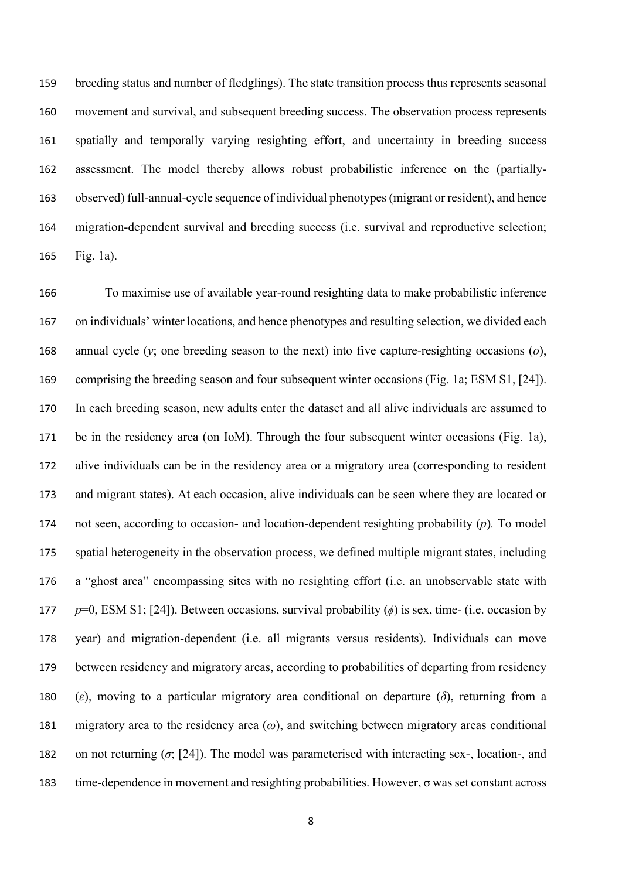breeding status and number of fledglings). The state transition process thus represents seasonal movement and survival, and subsequent breeding success. The observation process represents spatially and temporally varying resighting effort, and uncertainty in breeding success assessment. The model thereby allows robust probabilistic inference on the (partially- observed) full-annual-cycle sequence of individual phenotypes (migrant or resident), and hence migration-dependent survival and breeding success (i.e. survival and reproductive selection; Fig. 1a).

 To maximise use of available year-round resighting data to make probabilistic inference on individuals' winter locations, and hence phenotypes and resulting selection, we divided each annual cycle (*y*; one breeding season to the next) into five capture-resighting occasions (*o*), comprising the breeding season and four subsequent winter occasions (Fig. 1a; ESM S1, [24]). In each breeding season, new adults enter the dataset and all alive individuals are assumed to be in the residency area (on IoM). Through the four subsequent winter occasions (Fig. 1a), alive individuals can be in the residency area or a migratory area (corresponding to resident and migrant states). At each occasion, alive individuals can be seen where they are located or not seen, according to occasion- and location-dependent resighting probability (*p*)*.* To model spatial heterogeneity in the observation process, we defined multiple migrant states, including a "ghost area" encompassing sites with no resighting effort (i.e. an unobservable state with *p*=0, ESM S1; [24]). Between occasions, survival probability (*ϕ*) is sex, time- (i.e. occasion by year) and migration-dependent (i.e. all migrants versus residents). Individuals can move between residency and migratory areas, according to probabilities of departing from residency (*ε*), moving to a particular migratory area conditional on departure (*δ*), returning from a migratory area to the residency area (*ω*), and switching between migratory areas conditional on not returning (*σ*; [24]). The model was parameterised with interacting sex-, location-, and time-dependence in movement and resighting probabilities. However, σ was set constant across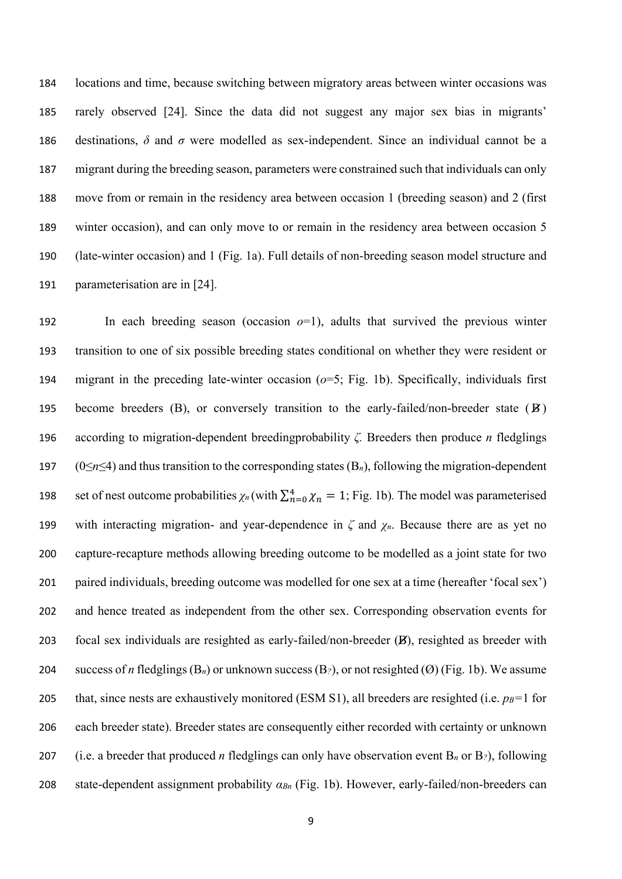locations and time, because switching between migratory areas between winter occasions was rarely observed [24]. Since the data did not suggest any major sex bias in migrants' destinations, *δ* and *σ* were modelled as sex-independent. Since an individual cannot be a migrant during the breeding season, parameters were constrained such that individuals can only move from or remain in the residency area between occasion 1 (breeding season) and 2 (first winter occasion), and can only move to or remain in the residency area between occasion 5 (late-winter occasion) and 1 (Fig. 1a). Full details of non-breeding season model structure and parameterisation are in [24].

 In each breeding season (occasion *o*=1), adults that survived the previous winter transition to one of six possible breeding states conditional on whether they were resident or migrant in the preceding late-winter occasion (*o*=5; Fig. 1b). Specifically, individuals first 195 become breeders  $(B)$ , or conversely transition to the early-failed/non-breeder state  $(B)$  according to migration-dependent breedingprobability *ζ.* Breeders then produce *n* fledglings (0≤*n*≤4) and thus transition to the corresponding states (B*n*), following the migration-dependent set of nest outcome probabilities  $\chi_n$  (with  $\sum_{n=0}^{4} \chi_n = 1$ ; Fig. 1b). The model was parameterised with interacting migration- and year-dependence in *ζ* and *χn*. Because there are as yet no capture-recapture methods allowing breeding outcome to be modelled as a joint state for two paired individuals, breeding outcome was modelled for one sex at a time (hereafter 'focal sex') and hence treated as independent from the other sex. Corresponding observation events for focal sex individuals are resighted as early-failed/non-breeder (B), resighted as breeder with success of *n* fledglings (B*n*) or unknown success (B*?*), or not resighted (Ø) (Fig. 1b). We assume 205 that, since nests are exhaustively monitored (ESM S1), all breeders are resighted (i.e.  $p_B=1$  for each breeder state). Breeder states are consequently either recorded with certainty or unknown (i.e. a breeder that produced *n* fledglings can only have observation event B*<sup>n</sup>* or B*?*), following state-dependent assignment probability *αBn* (Fig. 1b). However, early-failed/non-breeders can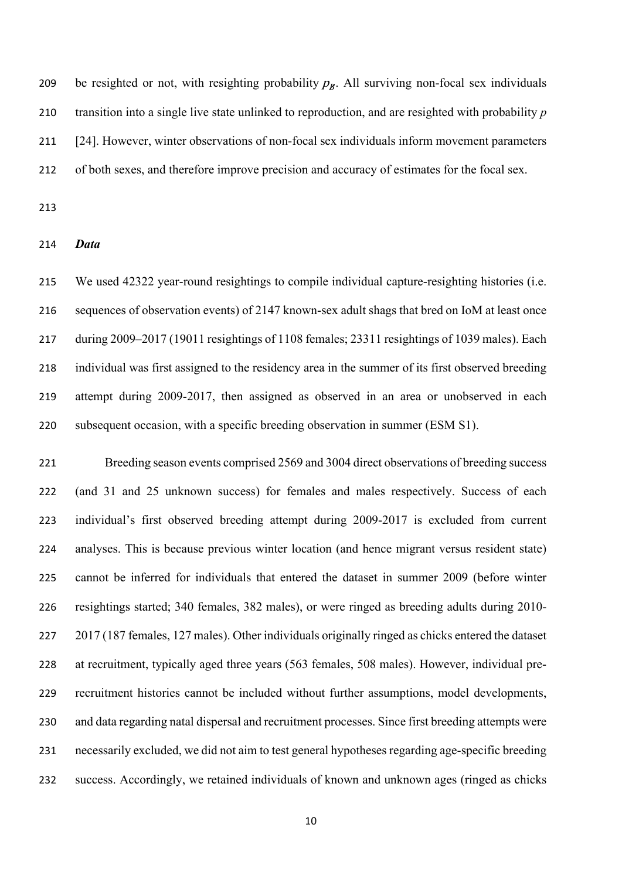209 be resighted or not, with resighting probability  $p_B$ . All surviving non-focal sex individuals transition into a single live state unlinked to reproduction, and are resighted with probability *p* [24]. However, winter observations of non-focal sex individuals inform movement parameters of both sexes, and therefore improve precision and accuracy of estimates for the focal sex.

#### *Data*

 We used 42322 year-round resightings to compile individual capture-resighting histories (i.e. sequences of observation events) of 2147 known-sex adult shags that bred on IoM at least once during 2009–2017 (19011 resightings of 1108 females; 23311 resightings of 1039 males). Each individual was first assigned to the residency area in the summer of its first observed breeding attempt during 2009-2017, then assigned as observed in an area or unobserved in each subsequent occasion, with a specific breeding observation in summer (ESM S1).

 Breeding season events comprised 2569 and 3004 direct observations of breeding success (and 31 and 25 unknown success) for females and males respectively. Success of each individual's first observed breeding attempt during 2009-2017 is excluded from current analyses. This is because previous winter location (and hence migrant versus resident state) cannot be inferred for individuals that entered the dataset in summer 2009 (before winter resightings started; 340 females, 382 males), or were ringed as breeding adults during 2010- 227 2017 (187 females, 127 males). Other individuals originally ringed as chicks entered the dataset at recruitment, typically aged three years (563 females, 508 males). However, individual pre- recruitment histories cannot be included without further assumptions, model developments, and data regarding natal dispersal and recruitment processes. Since first breeding attempts were necessarily excluded, we did not aim to test general hypotheses regarding age-specific breeding success. Accordingly, we retained individuals of known and unknown ages (ringed as chicks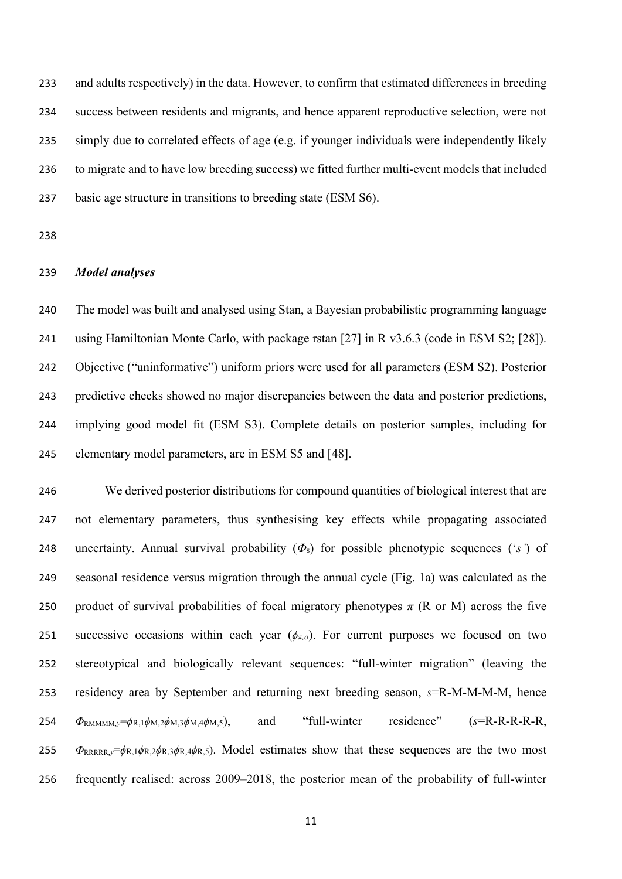and adults respectively) in the data. However, to confirm that estimated differences in breeding success between residents and migrants, and hence apparent reproductive selection, were not simply due to correlated effects of age (e.g. if younger individuals were independently likely to migrate and to have low breeding success) we fitted further multi-event models that included basic age structure in transitions to breeding state (ESM S6).

### *Model analyses*

 The model was built and analysed using Stan, a Bayesian probabilistic programming language using Hamiltonian Monte Carlo, with package rstan [27] in R v3.6.3 (code in ESM S2; [28]). Objective ("uninformative") uniform priors were used for all parameters (ESM S2). Posterior predictive checks showed no major discrepancies between the data and posterior predictions, implying good model fit (ESM S3). Complete details on posterior samples, including for elementary model parameters, are in ESM S5 and [48].

 We derived posterior distributions for compound quantities of biological interest that are not elementary parameters, thus synthesising key effects while propagating associated uncertainty. Annual survival probability (*Φ*s) for possible phenotypic sequences ('*s'*) of seasonal residence versus migration through the annual cycle (Fig. 1a) was calculated as the 250 product of survival probabilities of focal migratory phenotypes  $\pi$  (R or M) across the five successive occasions within each year (*ϕπ,o*). For current purposes we focused on two stereotypical and biologically relevant sequences: "full-winter migration" (leaving the residency area by September and returning next breeding season, *s*=R-M-M-M-M, hence *Φ*RMMMM,*y*=*ϕ*R,1*ϕ*M,2*ϕ*M,3*ϕ*M,4*ϕ*M,5), and "full-winter residence" (*s*=R-R-R-R-R, *Φ*RRRRR,*y*=*ϕ*R,1*ϕ*R,2*ϕ*R,3*ϕ*R,4*ϕ*R,5). Model estimates show that these sequences are the two most frequently realised: across 2009–2018, the posterior mean of the probability of full-winter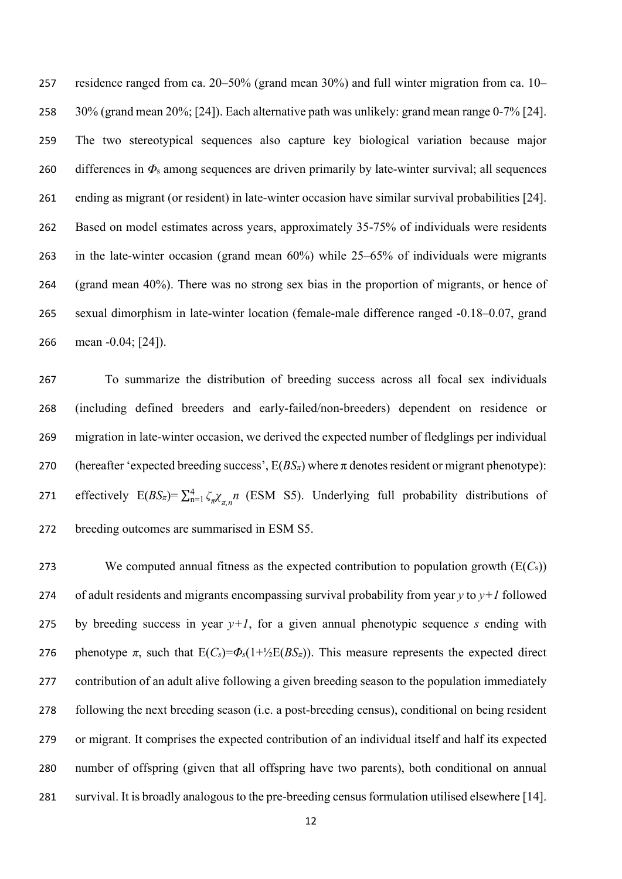residence ranged from ca. 20–50% (grand mean 30%) and full winter migration from ca. 10– 30% (grand mean 20%; [24]). Each alternative path was unlikely: grand mean range 0-7% [24]. The two stereotypical sequences also capture key biological variation because major differences in *Φ*<sup>s</sup> among sequences are driven primarily by late-winter survival; all sequences ending as migrant (or resident) in late-winter occasion have similar survival probabilities [24]. Based on model estimates across years, approximately 35-75% of individuals were residents in the late-winter occasion (grand mean 60%) while 25–65% of individuals were migrants (grand mean 40%). There was no strong sex bias in the proportion of migrants, or hence of sexual dimorphism in late-winter location (female-male difference ranged -0.18–0.07, grand mean -0.04; [24]).

 To summarize the distribution of breeding success across all focal sex individuals (including defined breeders and early-failed/non-breeders) dependent on residence or migration in late-winter occasion, we derived the expected number of fledglings per individual 270 (hereafter 'expected breeding success',  $E(BS_{\pi})$  where  $\pi$  denotes resident or migrant phenotype): effectively  $E(BS_{\pi}) = \sum_{n=1}^{4} \zeta_n \chi_{\pi,n} n$  (ESM S5). Underlying full probability distributions of breeding outcomes are summarised in ESM S5.

 We computed annual fitness as the expected contribution to population growth (E(*C*s)) of adult residents and migrants encompassing survival probability from year *y* to *y+1* followed 275 by breeding success in year  $y+1$ , for a given annual phenotypic sequence *s* ending with 276 phenotype *π*, such that  $E(C_s) = \Phi_s(1+\frac{1}{2}E(BS_\pi))$ . This measure represents the expected direct contribution of an adult alive following a given breeding season to the population immediately following the next breeding season (i.e. a post-breeding census), conditional on being resident or migrant. It comprises the expected contribution of an individual itself and half its expected number of offspring (given that all offspring have two parents), both conditional on annual survival. It is broadly analogous to the pre-breeding census formulation utilised elsewhere [14].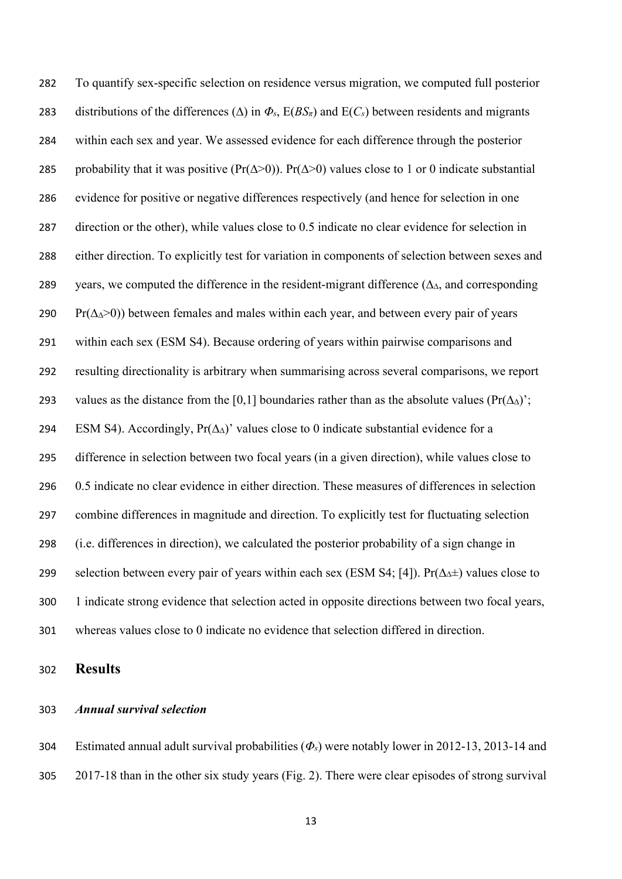To quantify sex-specific selection on residence versus migration, we computed full posterior 283 distributions of the differences ( $\Delta$ ) in  $\Phi_s$ ,  $E(BS_\pi)$  and  $E(C_s)$  between residents and migrants within each sex and year. We assessed evidence for each difference through the posterior 285 probability that it was positive ( $Pr(\Delta > 0)$ ).  $Pr(\Delta > 0)$  values close to 1 or 0 indicate substantial evidence for positive or negative differences respectively (and hence for selection in one direction or the other), while values close to 0.5 indicate no clear evidence for selection in either direction. To explicitly test for variation in components of selection between sexes and 289 years, we computed the difference in the resident-migrant difference ( $\Delta_{\Delta}$ , and corresponding 290 Pr( $\Delta\Delta$ >0)) between females and males within each year, and between every pair of years within each sex (ESM S4). Because ordering of years within pairwise comparisons and resulting directionality is arbitrary when summarising across several comparisons, we report 293 values as the distance from the [0,1] boundaries rather than as the absolute values (Pr( $\Delta\Delta$ )'; ESM S4). Accordingly, Pr(∆∆)' values close to 0 indicate substantial evidence for a difference in selection between two focal years (in a given direction), while values close to 0.5 indicate no clear evidence in either direction. These measures of differences in selection combine differences in magnitude and direction. To explicitly test for fluctuating selection (i.e. differences in direction), we calculated the posterior probability of a sign change in selection between every pair of years within each sex (ESM S4; [4]). Pr(∆∆±) values close to 1 indicate strong evidence that selection acted in opposite directions between two focal years, whereas values close to 0 indicate no evidence that selection differed in direction.

**Results**

#### *Annual survival selection*

 Estimated annual adult survival probabilities (*Φs*) were notably lower in 2012-13, 2013-14 and 2017-18 than in the other six study years (Fig. 2). There were clear episodes of strong survival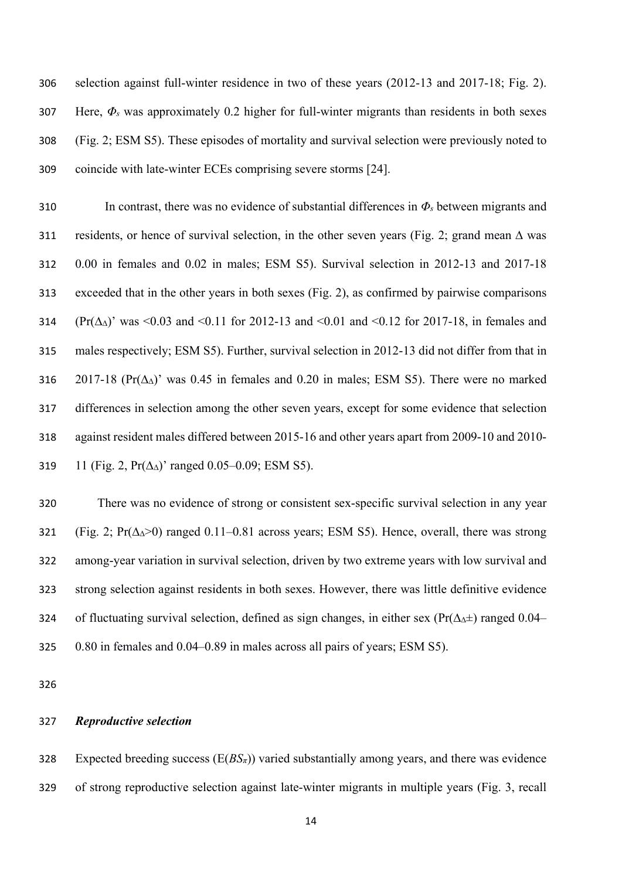selection against full-winter residence in two of these years (2012-13 and 2017-18; Fig. 2). Here, *Φ<sup>s</sup>* was approximately 0.2 higher for full-winter migrants than residents in both sexes (Fig. 2; ESM S5). These episodes of mortality and survival selection were previously noted to coincide with late-winter ECEs comprising severe storms [24].

310 In contrast, there was no evidence of substantial differences in  $\Phi_s$  between migrants and 311 residents, or hence of survival selection, in the other seven years (Fig. 2; grand mean  $\Delta$  was 0.00 in females and 0.02 in males; ESM S5). Survival selection in 2012-13 and 2017-18 exceeded that in the other years in both sexes (Fig. 2), as confirmed by pairwise comparisons (Pr(∆∆)' was <0.03 and <0.11 for 2012-13 and <0.01 and <0.12 for 2017-18, in females and males respectively; ESM S5). Further, survival selection in 2012-13 did not differ from that in 2017-18 (Pr(∆∆)' was 0.45 in females and 0.20 in males; ESM S5). There were no marked differences in selection among the other seven years, except for some evidence that selection against resident males differed between 2015-16 and other years apart from 2009-10 and 2010- 319 11 (Fig. 2, Pr( $\Delta_{\Delta}$ )' ranged 0.05–0.09; ESM S5).

 There was no evidence of strong or consistent sex-specific survival selection in any year (Fig. 2; Pr(∆∆>0) ranged 0.11–0.81 across years; ESM S5). Hence, overall, there was strong among-year variation in survival selection, driven by two extreme years with low survival and strong selection against residents in both sexes. However, there was little definitive evidence of fluctuating survival selection, defined as sign changes, in either sex (Pr(∆∆±) ranged 0.04– 0.80 in females and 0.04–0.89 in males across all pairs of years; ESM S5).

### *Reproductive selection*

 Expected breeding success (E(*BSπ*)) varied substantially among years, and there was evidence of strong reproductive selection against late-winter migrants in multiple years (Fig. 3, recall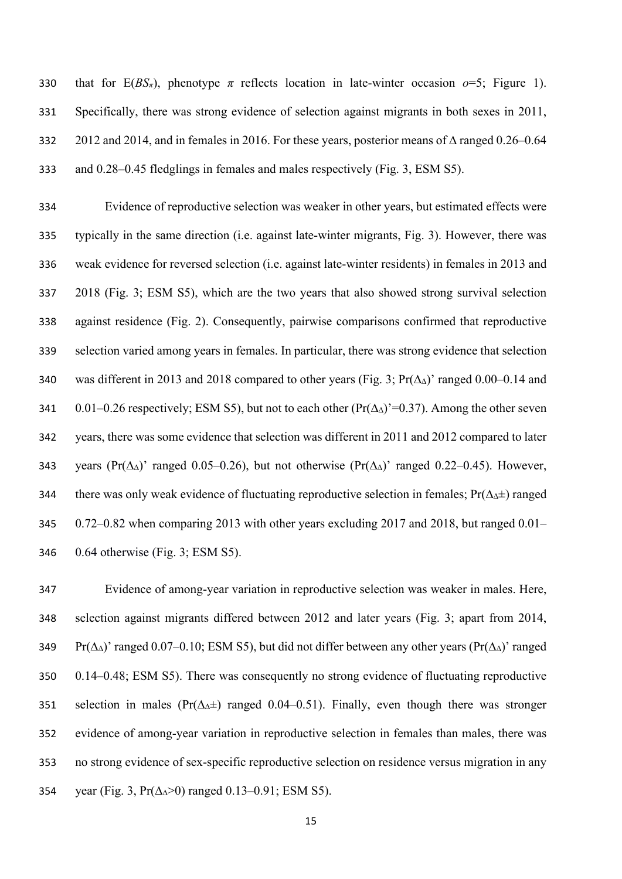330 that for  $E(BS_{\pi})$ , phenotype  $\pi$  reflects location in late-winter occasion  $o=5$ ; Figure 1). Specifically, there was strong evidence of selection against migrants in both sexes in 2011, 2012 and 2014, and in females in 2016. For these years, posterior means of ∆ ranged 0.26–0.64 and 0.28–0.45 fledglings in females and males respectively (Fig. 3, ESM S5).

 Evidence of reproductive selection was weaker in other years, but estimated effects were typically in the same direction (i.e. against late-winter migrants, Fig. 3). However, there was weak evidence for reversed selection (i.e. against late-winter residents) in females in 2013 and 2018 (Fig. 3; ESM S5), which are the two years that also showed strong survival selection against residence (Fig. 2). Consequently, pairwise comparisons confirmed that reproductive selection varied among years in females. In particular, there was strong evidence that selection was different in 2013 and 2018 compared to other years (Fig. 3; Pr(∆∆)' ranged 0.00–0.14 and 0.01–0.26 respectively; ESM S5), but not to each other (Pr(∆∆)'=0.37). Among the other seven years, there was some evidence that selection was different in 2011 and 2012 compared to later 343 years (Pr( $\Delta_{\Delta}$ )' ranged 0.05–0.26), but not otherwise (Pr( $\Delta_{\Delta}$ )' ranged 0.22–0.45). However, there was only weak evidence of fluctuating reproductive selection in females; Pr(∆∆±) ranged 0.72–0.82 when comparing 2013 with other years excluding 2017 and 2018, but ranged 0.01– 0.64 otherwise (Fig. 3; ESM S5).

 Evidence of among-year variation in reproductive selection was weaker in males. Here, selection against migrants differed between 2012 and later years (Fig. 3; apart from 2014, Pr(∆∆)' ranged 0.07–0.10; ESM S5), but did not differ between any other years (Pr(∆∆)' ranged 0.14–0.48; ESM S5). There was consequently no strong evidence of fluctuating reproductive selection in males (Pr(∆∆±) ranged 0.04–0.51). Finally, even though there was stronger evidence of among-year variation in reproductive selection in females than males, there was no strong evidence of sex-specific reproductive selection on residence versus migration in any year (Fig. 3, Pr(∆∆>0) ranged 0.13–0.91; ESM S5).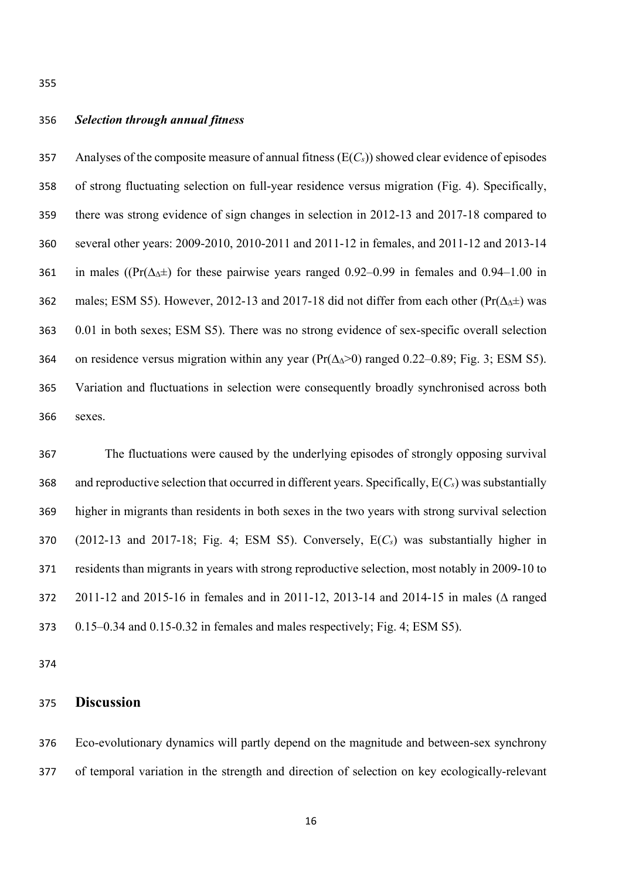## *Selection through annual fitness*

 Analyses of the composite measure of annual fitness (E(*Cs*)) showed clear evidence of episodes of strong fluctuating selection on full-year residence versus migration (Fig. 4). Specifically, there was strong evidence of sign changes in selection in 2012-13 and 2017-18 compared to several other years: 2009-2010, 2010-2011 and 2011-12 in females, and 2011-12 and 2013-14 361 in males ((Pr( $\Delta_{\Delta}$ ±) for these pairwise years ranged 0.92–0.99 in females and 0.94–1.00 in males; ESM S5). However, 2012-13 and 2017-18 did not differ from each other (Pr(∆∆±) was 0.01 in both sexes; ESM S5). There was no strong evidence of sex-specific overall selection on residence versus migration within any year (Pr(∆∆>0) ranged 0.22–0.89; Fig. 3; ESM S5). Variation and fluctuations in selection were consequently broadly synchronised across both sexes.

 The fluctuations were caused by the underlying episodes of strongly opposing survival and reproductive selection that occurred in different years. Specifically, E(*Cs*) was substantially higher in migrants than residents in both sexes in the two years with strong survival selection (2012-13 and 2017-18; Fig. 4; ESM S5). Conversely, E(*Cs*) was substantially higher in residents than migrants in years with strong reproductive selection, most notably in 2009-10 to 2011-12 and 2015-16 in females and in 2011-12, 2013-14 and 2014-15 in males (∆ ranged 0.15–0.34 and 0.15-0.32 in females and males respectively; Fig. 4; ESM S5).

# **Discussion**

 Eco-evolutionary dynamics will partly depend on the magnitude and between-sex synchrony of temporal variation in the strength and direction of selection on key ecologically-relevant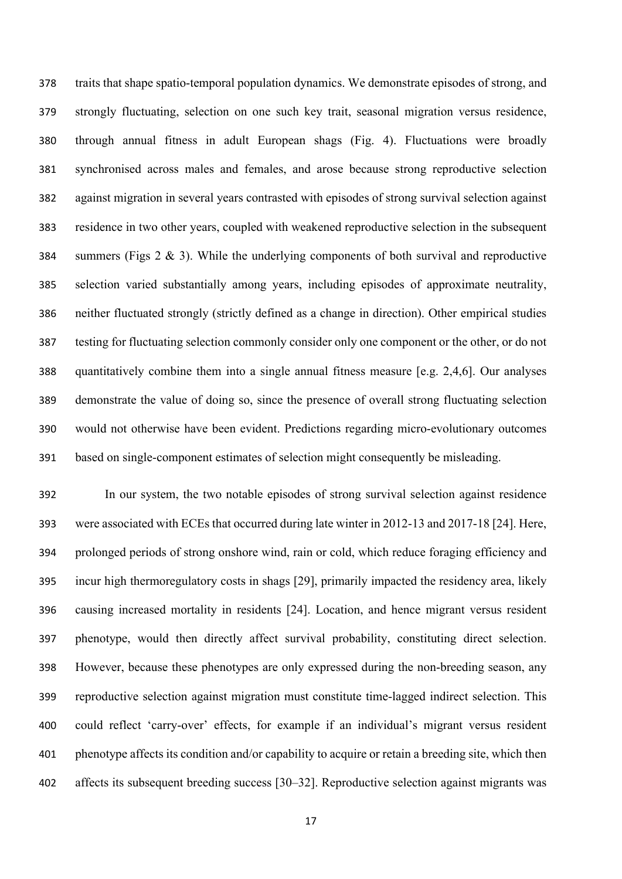traits that shape spatio-temporal population dynamics. We demonstrate episodes of strong, and strongly fluctuating, selection on one such key trait, seasonal migration versus residence, through annual fitness in adult European shags (Fig. 4). Fluctuations were broadly synchronised across males and females, and arose because strong reproductive selection against migration in several years contrasted with episodes of strong survival selection against residence in two other years, coupled with weakened reproductive selection in the subsequent summers (Figs 2 & 3). While the underlying components of both survival and reproductive selection varied substantially among years, including episodes of approximate neutrality, neither fluctuated strongly (strictly defined as a change in direction). Other empirical studies testing for fluctuating selection commonly consider only one component or the other, or do not quantitatively combine them into a single annual fitness measure [e.g. 2,4,6]. Our analyses demonstrate the value of doing so, since the presence of overall strong fluctuating selection would not otherwise have been evident. Predictions regarding micro-evolutionary outcomes based on single-component estimates of selection might consequently be misleading.

 In our system, the two notable episodes of strong survival selection against residence were associated with ECEs that occurred during late winter in 2012-13 and 2017-18 [24]. Here, prolonged periods of strong onshore wind, rain or cold, which reduce foraging efficiency and incur high thermoregulatory costs in shags [29], primarily impacted the residency area, likely causing increased mortality in residents [24]. Location, and hence migrant versus resident phenotype, would then directly affect survival probability, constituting direct selection. However, because these phenotypes are only expressed during the non-breeding season, any reproductive selection against migration must constitute time-lagged indirect selection. This could reflect 'carry-over' effects, for example if an individual's migrant versus resident phenotype affects its condition and/or capability to acquire or retain a breeding site, which then affects its subsequent breeding success [30–32]. Reproductive selection against migrants was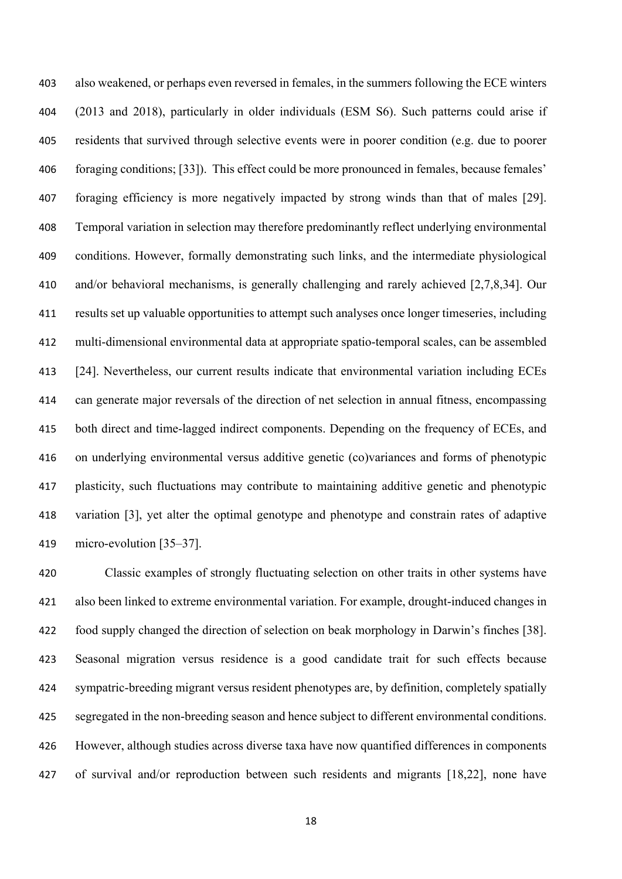also weakened, or perhaps even reversed in females, in the summers following the ECE winters (2013 and 2018), particularly in older individuals (ESM S6). Such patterns could arise if residents that survived through selective events were in poorer condition (e.g. due to poorer foraging conditions; [33]). This effect could be more pronounced in females, because females' foraging efficiency is more negatively impacted by strong winds than that of males [29]. Temporal variation in selection may therefore predominantly reflect underlying environmental conditions. However, formally demonstrating such links, and the intermediate physiological and/or behavioral mechanisms, is generally challenging and rarely achieved [2,7,8,34]. Our results set up valuable opportunities to attempt such analyses once longer timeseries, including multi-dimensional environmental data at appropriate spatio-temporal scales, can be assembled [24]. Nevertheless, our current results indicate that environmental variation including ECEs can generate major reversals of the direction of net selection in annual fitness, encompassing both direct and time-lagged indirect components. Depending on the frequency of ECEs, and on underlying environmental versus additive genetic (co)variances and forms of phenotypic plasticity, such fluctuations may contribute to maintaining additive genetic and phenotypic variation [3], yet alter the optimal genotype and phenotype and constrain rates of adaptive micro-evolution [35–37].

 Classic examples of strongly fluctuating selection on other traits in other systems have also been linked to extreme environmental variation. For example, drought-induced changes in food supply changed the direction of selection on beak morphology in Darwin's finches [38]. Seasonal migration versus residence is a good candidate trait for such effects because sympatric-breeding migrant versus resident phenotypes are, by definition, completely spatially segregated in the non-breeding season and hence subject to different environmental conditions. However, although studies across diverse taxa have now quantified differences in components of survival and/or reproduction between such residents and migrants [18,22], none have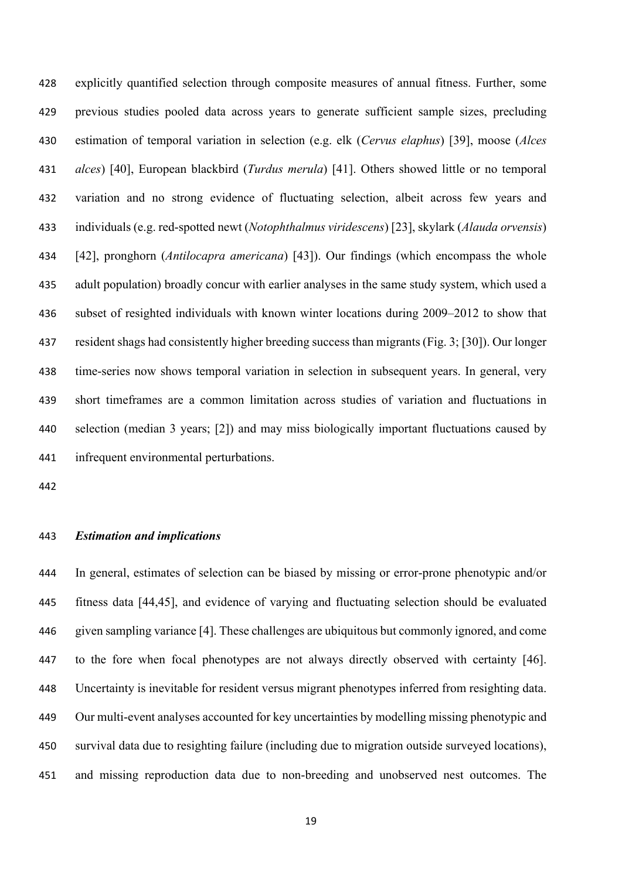explicitly quantified selection through composite measures of annual fitness. Further, some previous studies pooled data across years to generate sufficient sample sizes, precluding estimation of temporal variation in selection (e.g. elk (*Cervus elaphus*) [39], moose (*Alces alces*) [40], European blackbird (*Turdus merula*) [41]. Others showed little or no temporal variation and no strong evidence of fluctuating selection, albeit across few years and individuals (e.g. red-spotted newt (*Notophthalmus viridescens*) [23], skylark (*Alauda orvensis*) [42], pronghorn (*Antilocapra americana*) [43]). Our findings (which encompass the whole adult population) broadly concur with earlier analyses in the same study system, which used a subset of resighted individuals with known winter locations during 2009–2012 to show that resident shags had consistently higher breeding success than migrants (Fig. 3; [30]). Our longer time-series now shows temporal variation in selection in subsequent years. In general, very short timeframes are a common limitation across studies of variation and fluctuations in selection (median 3 years; [2]) and may miss biologically important fluctuations caused by infrequent environmental perturbations.

### *Estimation and implications*

 In general, estimates of selection can be biased by missing or error-prone phenotypic and/or fitness data [44,45], and evidence of varying and fluctuating selection should be evaluated given sampling variance [4]. These challenges are ubiquitous but commonly ignored, and come to the fore when focal phenotypes are not always directly observed with certainty [46]. Uncertainty is inevitable for resident versus migrant phenotypes inferred from resighting data. Our multi-event analyses accounted for key uncertainties by modelling missing phenotypic and survival data due to resighting failure (including due to migration outside surveyed locations), and missing reproduction data due to non-breeding and unobserved nest outcomes. The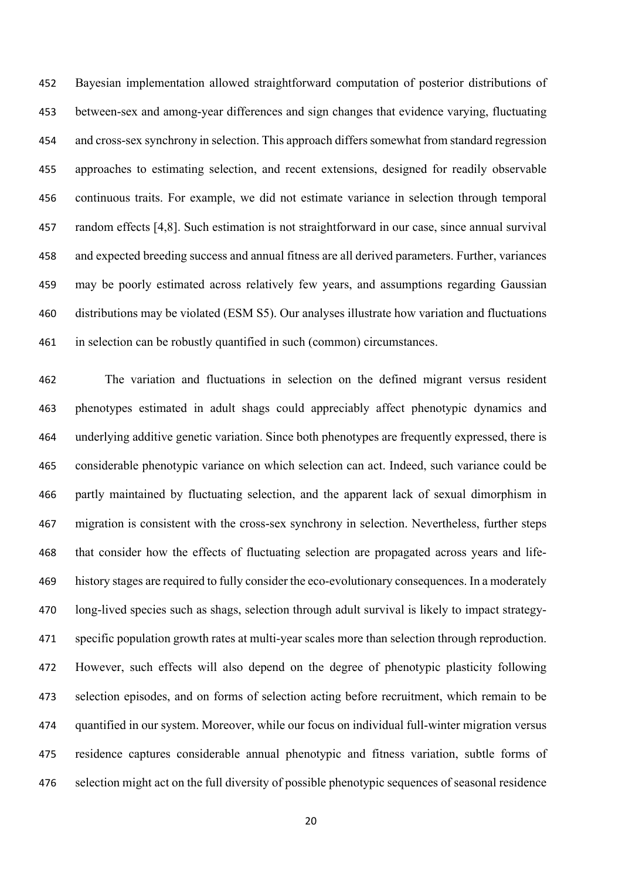Bayesian implementation allowed straightforward computation of posterior distributions of between-sex and among-year differences and sign changes that evidence varying, fluctuating and cross-sex synchrony in selection. This approach differs somewhat from standard regression approaches to estimating selection, and recent extensions, designed for readily observable continuous traits. For example, we did not estimate variance in selection through temporal random effects [4,8]. Such estimation is not straightforward in our case, since annual survival and expected breeding success and annual fitness are all derived parameters. Further, variances may be poorly estimated across relatively few years, and assumptions regarding Gaussian distributions may be violated (ESM S5). Our analyses illustrate how variation and fluctuations in selection can be robustly quantified in such (common) circumstances.

 The variation and fluctuations in selection on the defined migrant versus resident phenotypes estimated in adult shags could appreciably affect phenotypic dynamics and underlying additive genetic variation. Since both phenotypes are frequently expressed, there is considerable phenotypic variance on which selection can act. Indeed, such variance could be partly maintained by fluctuating selection, and the apparent lack of sexual dimorphism in migration is consistent with the cross-sex synchrony in selection. Nevertheless, further steps that consider how the effects of fluctuating selection are propagated across years and life- history stages are required to fully consider the eco-evolutionary consequences. In a moderately long-lived species such as shags, selection through adult survival is likely to impact strategy- specific population growth rates at multi-year scales more than selection through reproduction. However, such effects will also depend on the degree of phenotypic plasticity following selection episodes, and on forms of selection acting before recruitment, which remain to be quantified in our system. Moreover, while our focus on individual full-winter migration versus residence captures considerable annual phenotypic and fitness variation, subtle forms of selection might act on the full diversity of possible phenotypic sequences of seasonal residence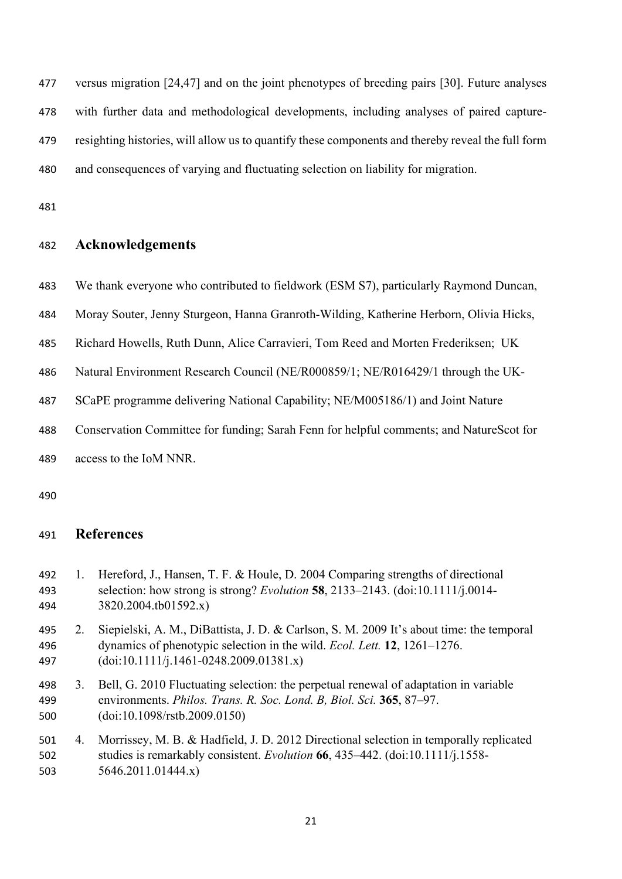versus migration [24,47] and on the joint phenotypes of breeding pairs [30]. Future analyses with further data and methodological developments, including analyses of paired capture- resighting histories, will allow us to quantify these components and thereby reveal the full form and consequences of varying and fluctuating selection on liability for migration.

# **Acknowledgements**

- We thank everyone who contributed to fieldwork (ESM S7), particularly Raymond Duncan,
- Moray Souter, Jenny Sturgeon, Hanna Granroth-Wilding, Katherine Herborn, Olivia Hicks,
- Richard Howells, Ruth Dunn, Alice Carravieri, Tom Reed and Morten Frederiksen; UK
- Natural Environment Research Council (NE/R000859/1; NE/R016429/1 through the UK-
- SCaPE programme delivering National Capability; NE/M005186/1) and Joint Nature
- Conservation Committee for funding; Sarah Fenn for helpful comments; and NatureScot for

access to the IoM NNR.

# **References**

- 1. Hereford, J., Hansen, T. F. & Houle, D. 2004 Comparing strengths of directional selection: how strong is strong? *Evolution* **58**, 2133–2143. (doi:10.1111/j.0014- 3820.2004.tb01592.x)
- 2. Siepielski, A. M., DiBattista, J. D. & Carlson, S. M. 2009 It's about time: the temporal dynamics of phenotypic selection in the wild. *Ecol. Lett.* **12**, 1261–1276. (doi:10.1111/j.1461-0248.2009.01381.x)
- 3. Bell, G. 2010 Fluctuating selection: the perpetual renewal of adaptation in variable environments. *Philos. Trans. R. Soc. Lond. B, Biol. Sci.* **365**, 87–97. (doi:10.1098/rstb.2009.0150)
- 4. Morrissey, M. B. & Hadfield, J. D. 2012 Directional selection in temporally replicated studies is remarkably consistent. *Evolution* **66**, 435–442. (doi:10.1111/j.1558- 5646.2011.01444.x)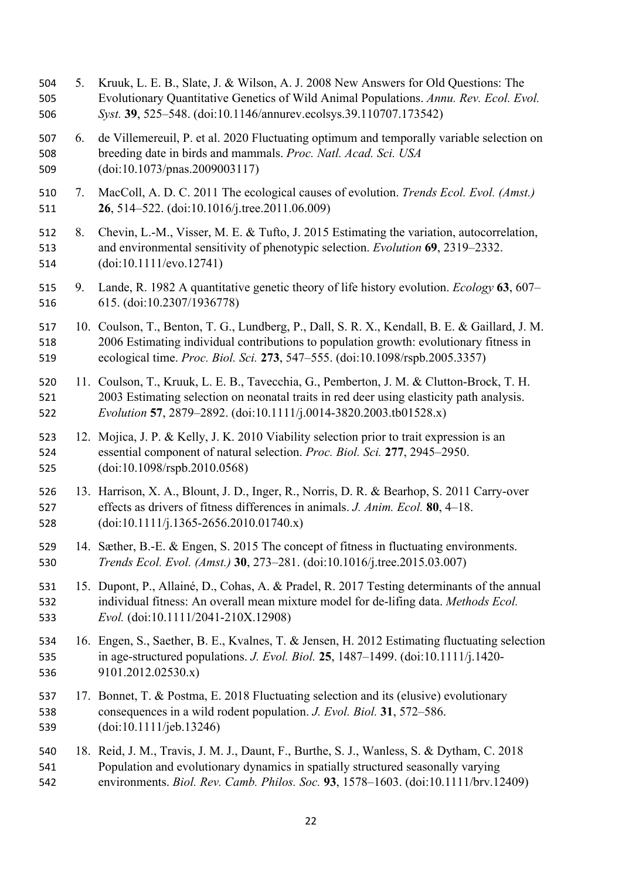5. Kruuk, L. E. B., Slate, J. & Wilson, A. J. 2008 New Answers for Old Questions: The Evolutionary Quantitative Genetics of Wild Animal Populations. *Annu. Rev. Ecol. Evol. Syst.* **39**, 525–548. (doi:10.1146/annurev.ecolsys.39.110707.173542) 6. de Villemereuil, P. et al. 2020 Fluctuating optimum and temporally variable selection on breeding date in birds and mammals. *Proc. Natl. Acad. Sci. USA* (doi:10.1073/pnas.2009003117) 7. MacColl, A. D. C. 2011 The ecological causes of evolution. *Trends Ecol. Evol. (Amst.)* **26**, 514–522. (doi:10.1016/j.tree.2011.06.009) 8. Chevin, L.-M., Visser, M. E. & Tufto, J. 2015 Estimating the variation, autocorrelation, and environmental sensitivity of phenotypic selection. *Evolution* **69**, 2319–2332. (doi:10.1111/evo.12741) 9. Lande, R. 1982 A quantitative genetic theory of life history evolution. *Ecology* **63**, 607– 615. (doi:10.2307/1936778) 10. Coulson, T., Benton, T. G., Lundberg, P., Dall, S. R. X., Kendall, B. E. & Gaillard, J. M. 2006 Estimating individual contributions to population growth: evolutionary fitness in ecological time. *Proc. Biol. Sci.* **273**, 547–555. (doi:10.1098/rspb.2005.3357) 11. Coulson, T., Kruuk, L. E. B., Tavecchia, G., Pemberton, J. M. & Clutton-Brock, T. H. 2003 Estimating selection on neonatal traits in red deer using elasticity path analysis. *Evolution* **57**, 2879–2892. (doi:10.1111/j.0014-3820.2003.tb01528.x) 12. Mojica, J. P. & Kelly, J. K. 2010 Viability selection prior to trait expression is an essential component of natural selection. *Proc. Biol. Sci.* **277**, 2945–2950. (doi:10.1098/rspb.2010.0568) 13. Harrison, X. A., Blount, J. D., Inger, R., Norris, D. R. & Bearhop, S. 2011 Carry-over effects as drivers of fitness differences in animals. *J. Anim. Ecol.* **80**, 4–18. (doi:10.1111/j.1365-2656.2010.01740.x) 14. Sæther, B.-E. & Engen, S. 2015 The concept of fitness in fluctuating environments. *Trends Ecol. Evol. (Amst.)* **30**, 273–281. (doi:10.1016/j.tree.2015.03.007) 15. Dupont, P., Allainé, D., Cohas, A. & Pradel, R. 2017 Testing determinants of the annual individual fitness: An overall mean mixture model for de-lifing data. *Methods Ecol. Evol.* (doi:10.1111/2041-210X.12908) 16. Engen, S., Saether, B. E., Kvalnes, T. & Jensen, H. 2012 Estimating fluctuating selection in age-structured populations. *J. Evol. Biol.* **25**, 1487–1499. (doi:10.1111/j.1420- 9101.2012.02530.x) 17. Bonnet, T. & Postma, E. 2018 Fluctuating selection and its (elusive) evolutionary consequences in a wild rodent population. *J. Evol. Biol.* **31**, 572–586. (doi:10.1111/jeb.13246) 18. Reid, J. M., Travis, J. M. J., Daunt, F., Burthe, S. J., Wanless, S. & Dytham, C. 2018 Population and evolutionary dynamics in spatially structured seasonally varying environments. *Biol. Rev. Camb. Philos. Soc.* **93**, 1578–1603. (doi:10.1111/brv.12409)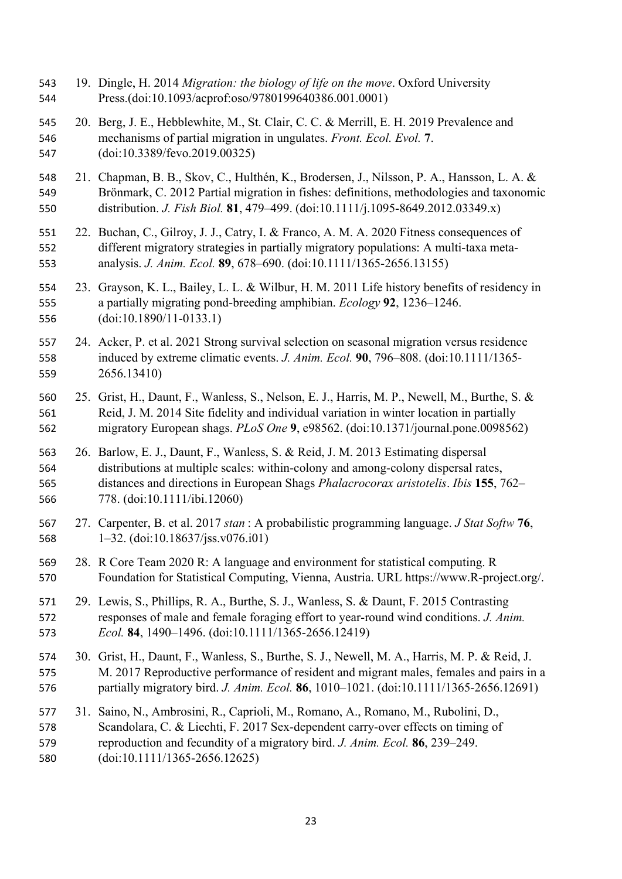- 19. Dingle, H. 2014 *Migration: the biology of life on the move*. Oxford University Press.(doi:10.1093/acprof:oso/9780199640386.001.0001)
- 20. Berg, J. E., Hebblewhite, M., St. Clair, C. C. & Merrill, E. H. 2019 Prevalence and mechanisms of partial migration in ungulates. *Front. Ecol. Evol.* **7**. (doi:10.3389/fevo.2019.00325)
- 21. Chapman, B. B., Skov, C., Hulthén, K., Brodersen, J., Nilsson, P. A., Hansson, L. A. & Brönmark, C. 2012 Partial migration in fishes: definitions, methodologies and taxonomic distribution. *J. Fish Biol.* **81**, 479–499. (doi:10.1111/j.1095-8649.2012.03349.x)
- 22. Buchan, C., Gilroy, J. J., Catry, I. & Franco, A. M. A. 2020 Fitness consequences of different migratory strategies in partially migratory populations: A multi-taxa meta-analysis. *J. Anim. Ecol.* **89**, 678–690. (doi:10.1111/1365-2656.13155)
- 23. Grayson, K. L., Bailey, L. L. & Wilbur, H. M. 2011 Life history benefits of residency in a partially migrating pond-breeding amphibian. *Ecology* **92**, 1236–1246. (doi:10.1890/11-0133.1)
- 24. Acker, P. et al. 2021 Strong survival selection on seasonal migration versus residence induced by extreme climatic events. *J. Anim. Ecol.* **90**, 796–808. (doi:10.1111/1365- 2656.13410)
- 25. Grist, H., Daunt, F., Wanless, S., Nelson, E. J., Harris, M. P., Newell, M., Burthe, S. & Reid, J. M. 2014 Site fidelity and individual variation in winter location in partially migratory European shags. *PLoS One* **9**, e98562. (doi:10.1371/journal.pone.0098562)
- 26. Barlow, E. J., Daunt, F., Wanless, S. & Reid, J. M. 2013 Estimating dispersal distributions at multiple scales: within-colony and among-colony dispersal rates, distances and directions in European Shags *Phalacrocorax aristotelis*. *Ibis* **155**, 762– 778. (doi:10.1111/ibi.12060)
- 27. Carpenter, B. et al. 2017 *stan* : A probabilistic programming language. *J Stat Softw* **76**, 1–32. (doi:10.18637/jss.v076.i01)
- 28. R Core Team 2020 R: A language and environment for statistical computing. R Foundation for Statistical Computing, Vienna, Austria. URL https://www.R-project.org/.
- 29. Lewis, S., Phillips, R. A., Burthe, S. J., Wanless, S. & Daunt, F. 2015 Contrasting responses of male and female foraging effort to year-round wind conditions. *J. Anim. Ecol.* **84**, 1490–1496. (doi:10.1111/1365-2656.12419)
- 30. Grist, H., Daunt, F., Wanless, S., Burthe, S. J., Newell, M. A., Harris, M. P. & Reid, J. M. 2017 Reproductive performance of resident and migrant males, females and pairs in a partially migratory bird. *J. Anim. Ecol.* **86**, 1010–1021. (doi:10.1111/1365-2656.12691)
- 31. Saino, N., Ambrosini, R., Caprioli, M., Romano, A., Romano, M., Rubolini, D., Scandolara, C. & Liechti, F. 2017 Sex-dependent carry-over effects on timing of reproduction and fecundity of a migratory bird. *J. Anim. Ecol.* **86**, 239–249. (doi:10.1111/1365-2656.12625)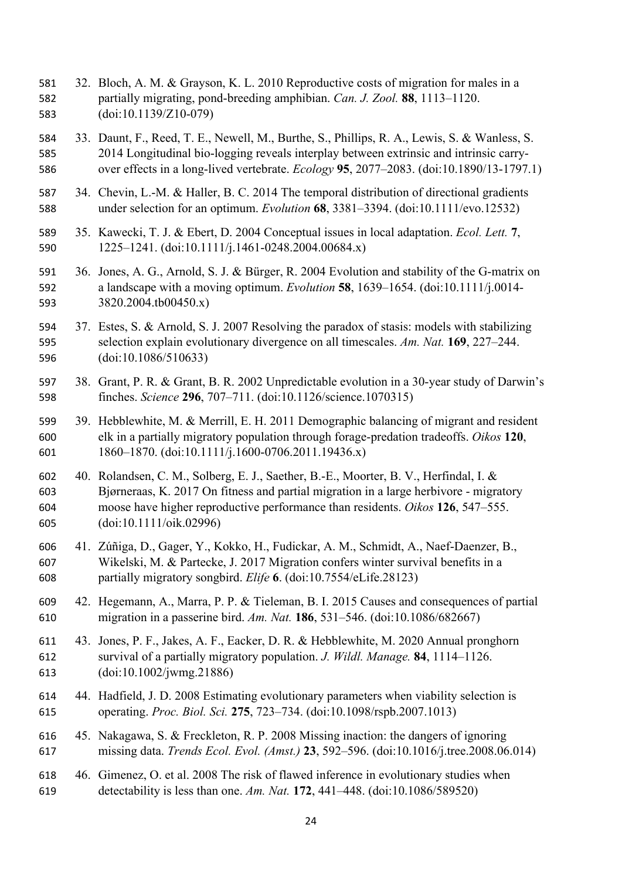- 32. Bloch, A. M. & Grayson, K. L. 2010 Reproductive costs of migration for males in a partially migrating, pond-breeding amphibian. *Can. J. Zool.* **88**, 1113–1120. (doi:10.1139/Z10-079)
- 33. Daunt, F., Reed, T. E., Newell, M., Burthe, S., Phillips, R. A., Lewis, S. & Wanless, S. 2014 Longitudinal bio-logging reveals interplay between extrinsic and intrinsic carry-over effects in a long-lived vertebrate. *Ecology* **95**, 2077–2083. (doi:10.1890/13-1797.1)
- 34. Chevin, L.-M. & Haller, B. C. 2014 The temporal distribution of directional gradients under selection for an optimum. *Evolution* **68**, 3381–3394. (doi:10.1111/evo.12532)
- 35. Kawecki, T. J. & Ebert, D. 2004 Conceptual issues in local adaptation. *Ecol. Lett.* **7**, 1225–1241. (doi:10.1111/j.1461-0248.2004.00684.x)
- 36. Jones, A. G., Arnold, S. J. & Bürger, R. 2004 Evolution and stability of the G-matrix on a landscape with a moving optimum. *Evolution* **58**, 1639–1654. (doi:10.1111/j.0014- 3820.2004.tb00450.x)
- 37. Estes, S. & Arnold, S. J. 2007 Resolving the paradox of stasis: models with stabilizing selection explain evolutionary divergence on all timescales. *Am. Nat.* **169**, 227–244. (doi:10.1086/510633)
- 38. Grant, P. R. & Grant, B. R. 2002 Unpredictable evolution in a 30-year study of Darwin's finches. *Science* **296**, 707–711. (doi:10.1126/science.1070315)
- 39. Hebblewhite, M. & Merrill, E. H. 2011 Demographic balancing of migrant and resident elk in a partially migratory population through forage-predation tradeoffs. *Oikos* **120**, 1860–1870. (doi:10.1111/j.1600-0706.2011.19436.x)
- 40. Rolandsen, C. M., Solberg, E. J., Saether, B.-E., Moorter, B. V., Herfindal, I. & Bjørneraas, K. 2017 On fitness and partial migration in a large herbivore - migratory moose have higher reproductive performance than residents. *Oikos* **126**, 547–555. (doi:10.1111/oik.02996)
- 41. Zúñiga, D., Gager, Y., Kokko, H., Fudickar, A. M., Schmidt, A., Naef-Daenzer, B., Wikelski, M. & Partecke, J. 2017 Migration confers winter survival benefits in a partially migratory songbird. *Elife* **6**. (doi:10.7554/eLife.28123)
- 42. Hegemann, A., Marra, P. P. & Tieleman, B. I. 2015 Causes and consequences of partial migration in a passerine bird. *Am. Nat.* **186**, 531–546. (doi:10.1086/682667)
- 43. Jones, P. F., Jakes, A. F., Eacker, D. R. & Hebblewhite, M. 2020 Annual pronghorn survival of a partially migratory population. *J. Wildl. Manage.* **84**, 1114–1126. (doi:10.1002/jwmg.21886)
- 44. Hadfield, J. D. 2008 Estimating evolutionary parameters when viability selection is operating. *Proc. Biol. Sci.* **275**, 723–734. (doi:10.1098/rspb.2007.1013)
- 45. Nakagawa, S. & Freckleton, R. P. 2008 Missing inaction: the dangers of ignoring missing data. *Trends Ecol. Evol. (Amst.)* **23**, 592–596. (doi:10.1016/j.tree.2008.06.014)
- 46. Gimenez, O. et al. 2008 The risk of flawed inference in evolutionary studies when detectability is less than one. *Am. Nat.* **172**, 441–448. (doi:10.1086/589520)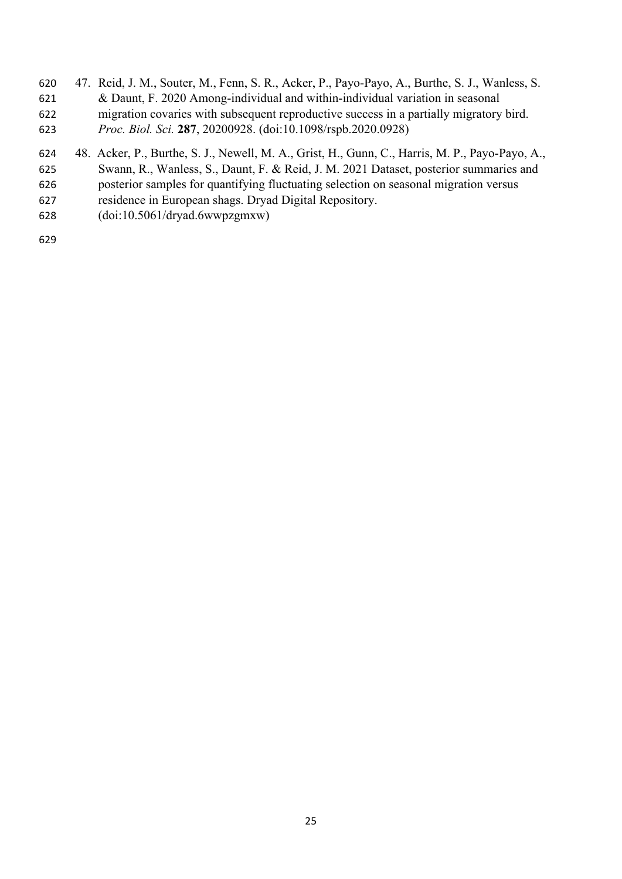- 47. Reid, J. M., Souter, M., Fenn, S. R., Acker, P., Payo-Payo, A., Burthe, S. J., Wanless, S. & Daunt, F. 2020 Among-individual and within-individual variation in seasonal migration covaries with subsequent reproductive success in a partially migratory bird. *Proc. Biol. Sci.* **287**, 20200928. (doi:10.1098/rspb.2020.0928)
- 48. Acker, P., Burthe, S. J., Newell, M. A., Grist, H., Gunn, C., Harris, M. P., Payo-Payo, A., Swann, R., Wanless, S., Daunt, F. & Reid, J. M. 2021 Dataset, posterior summaries and
- posterior samples for quantifying fluctuating selection on seasonal migration versus
- residence in European shags. Dryad Digital Repository.
- (doi:10.5061/dryad.6wwpzgmxw)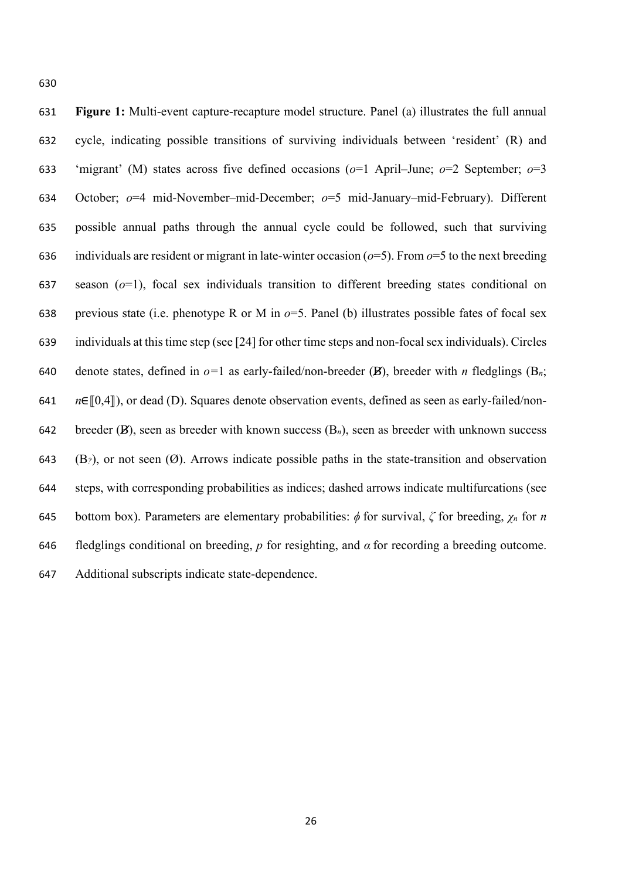**Figure 1:** Multi-event capture-recapture model structure. Panel (a) illustrates the full annual cycle, indicating possible transitions of surviving individuals between 'resident' (R) and 'migrant' (M) states across five defined occasions (*o*=1 April–June; *o*=2 September; *o*=3 October; *o*=4 mid-November–mid-December; *o*=5 mid-January–mid-February). Different possible annual paths through the annual cycle could be followed, such that surviving 636 individuals are resident or migrant in late-winter occasion  $(o=5)$ . From  $o=5$  to the next breeding season (*o*=1), focal sex individuals transition to different breeding states conditional on previous state (i.e. phenotype R or M in *o*=5. Panel (b) illustrates possible fates of focal sex individuals at this time step (see [24] for other time steps and non-focal sex individuals). Circles 640 denote states, defined in  $o=1$  as early-failed/non-breeder (B), breeder with *n* fledglings (B<sub>n</sub>; *n*∈[[0,4]]), or dead (D). Squares denote observation events, defined as seen as early-failed/non- breeder (B), seen as breeder with known success (B*n*), seen as breeder with unknown success (B*?*), or not seen (Ø). Arrows indicate possible paths in the state-transition and observation steps, with corresponding probabilities as indices; dashed arrows indicate multifurcations (see bottom box). Parameters are elementary probabilities: *ϕ* for survival, *ζ* for breeding, *χ<sup>n</sup>* for *n* fledglings conditional on breeding, *p* for resighting, and *α* for recording a breeding outcome. Additional subscripts indicate state-dependence.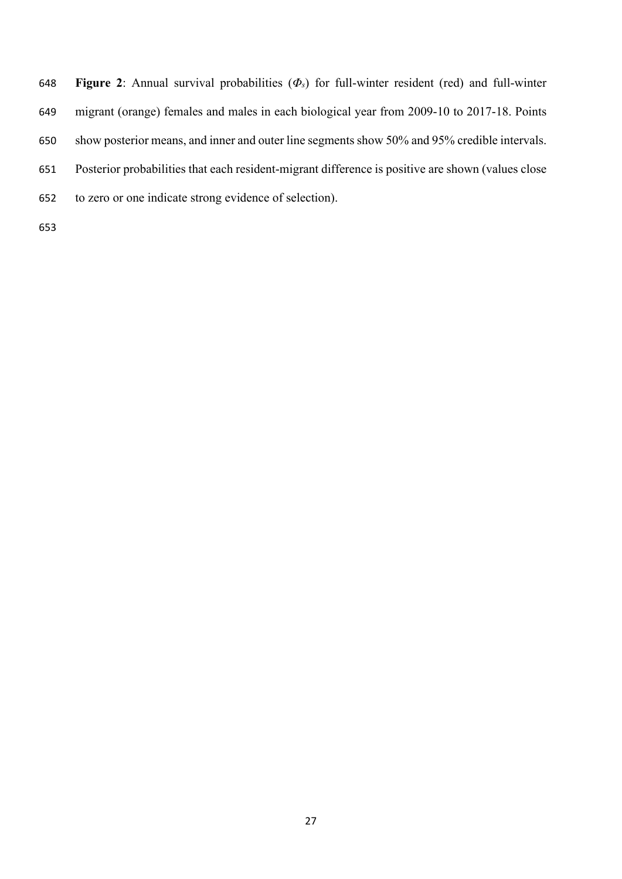**Figure 2**: Annual survival probabilities (*Φs*) for full-winter resident (red) and full-winter

- migrant (orange) females and males in each biological year from 2009-10 to 2017-18. Points
- show posterior means, and inner and outer line segments show 50% and 95% credible intervals.
- Posterior probabilities that each resident-migrant difference is positive are shown (values close
- to zero or one indicate strong evidence of selection).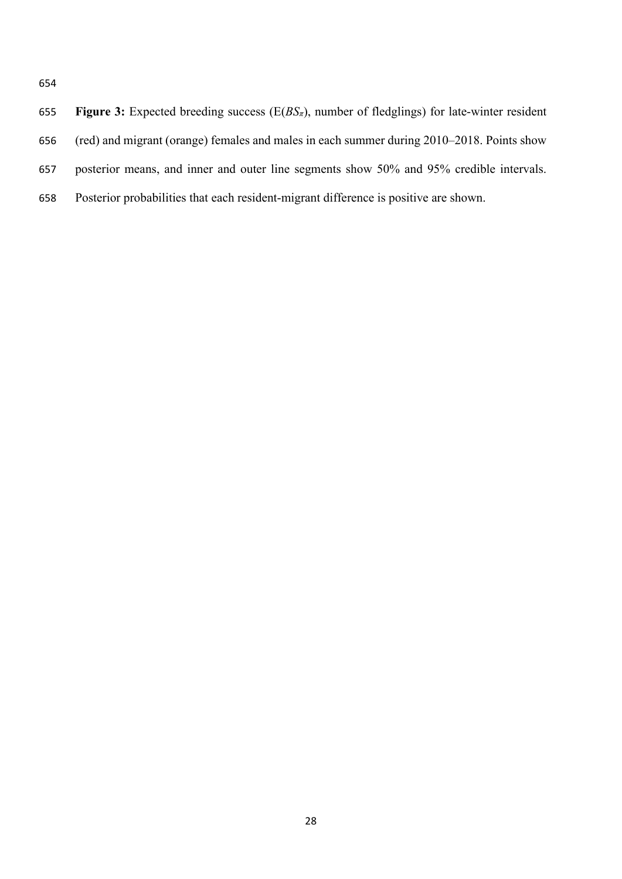| 655 | <b>Figure 3:</b> Expected breeding success ( $E(BS_{\pi})$ , number of fledglings) for late-winter resident |
|-----|-------------------------------------------------------------------------------------------------------------|
| 656 | (red) and migrant (orange) females and males in each summer during 2010–2018. Points show                   |
| 657 | posterior means, and inner and outer line segments show 50% and 95% credible intervals.                     |
| 658 | Posterior probabilities that each resident-migrant difference is positive are shown.                        |